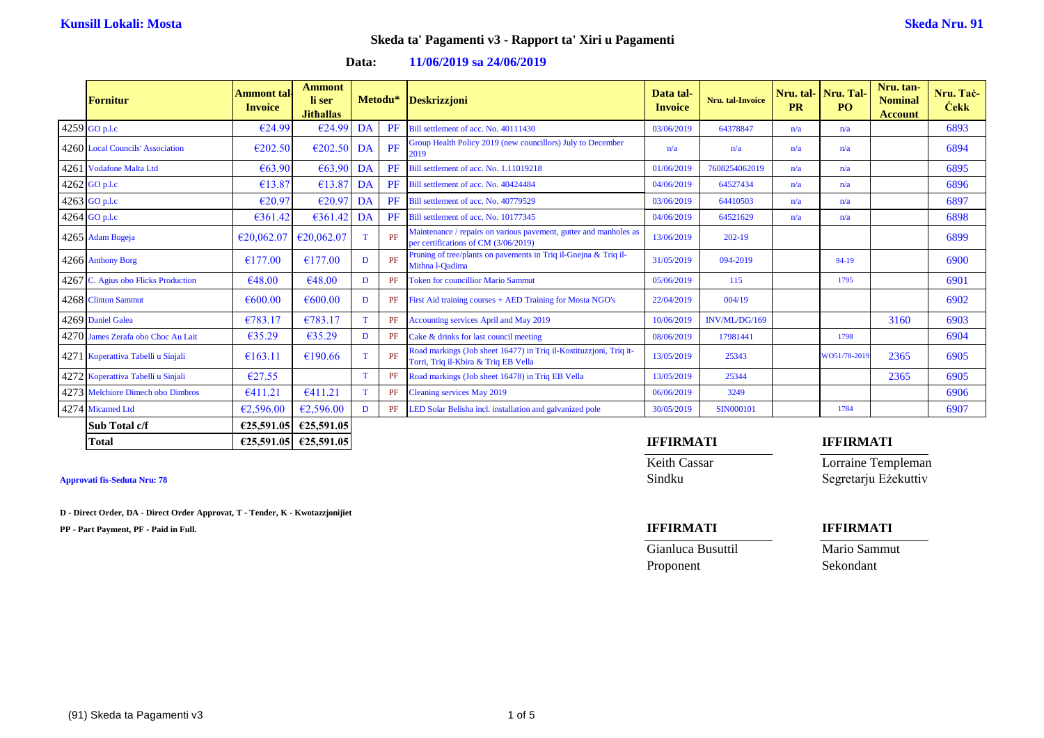| Fornitur                            | Ammont tal<br><b>Invoice</b> | <b>Ammont</b><br>li ser<br><b>Jithallas</b> |             |           | Metodu* Deskrizzjoni                                                                                       | Data tal-<br><b>Invoice</b> | Nru. tal-Invoice | <b>PR</b> | Nru. tal- Nru. Tal-<br><b>PO</b> | Nru. tan-<br><b>Nominal</b><br><b>Account</b> | Nru. Tač-<br><b>Cekk</b> |
|-------------------------------------|------------------------------|---------------------------------------------|-------------|-----------|------------------------------------------------------------------------------------------------------------|-----------------------------|------------------|-----------|----------------------------------|-----------------------------------------------|--------------------------|
| 4259 GO p.l.c                       | €24.99                       | €24.99                                      | DA          | PF        | Bill settlement of acc. No. 40111430                                                                       | 03/06/2019                  | 64378847         | n/a       | n/a                              |                                               | 6893                     |
| 4260 Local Councils' Association    | €202.50                      | E202.50                                     | DA          | PF        | Group Health Policy 2019 (new councillors) July to December<br>2019                                        | n/a                         | n/a              | n/a       | n/a                              |                                               | 6894                     |
| 4261 Vodafone Malta Ltd             | €63.90                       | €63.90                                      | DA          | PF        | Bill settlement of acc. No. 1.11019218                                                                     | 01/06/2019                  | 7608254062019    | n/a       | n/a                              |                                               | 6895                     |
| $4262$ GO p.l.c                     | €13.87                       | €13.87                                      | DA          | <b>PF</b> | Bill settlement of acc. No. 40424484                                                                       | 04/06/2019                  | 64527434         | n/a       | n/a                              |                                               | 6896                     |
| 4263 GO p.l.c                       | €20.97                       | €20.97                                      | DA          | PF        | Bill settlement of acc. No. 40779529                                                                       | 03/06/2019                  | 64410503         | n/a       | n/a                              |                                               | 6897                     |
| 4264 GO p.l.c                       | €361.42                      | €361.42                                     | DA          | PF        | Bill settlement of acc. No. 10177345                                                                       | 04/06/2019                  | 64521629         | n/a       | n/a                              |                                               | 6898                     |
| 4265 Adam Bugeja                    | €20,062.07                   | €20,062.07                                  | $\mathbf T$ | PF        | Maintenance / repairs on various pavement, gutter and manholes as<br>per certifications of CM (3/06/2019)  | 13/06/2019                  | $202 - 19$       |           |                                  |                                               | 6899                     |
| 4266 Anthony Borg                   | €177.00                      | €177.00                                     | D           | PF        | Pruning of tree/plants on pavements in Triq il-Gnejna & Triq il-<br>Mithna l-Qadima                        | 31/05/2019                  | 094-2019         |           | 94-19                            |                                               | 6900                     |
| 4267 C. Agius obo Flicks Production | €48.00                       | €48.00                                      | D           | PF        | <b>Token for councillior Mario Sammut</b>                                                                  | 05/06/2019                  | 115              |           | 1795                             |                                               | 6901                     |
| 4268 Clinton Sammut                 | €600.00                      | €600.00                                     | D           |           | PF First Aid training courses + AED Training for Mosta NGO's                                               | 22/04/2019                  | 004/19           |           |                                  |                                               | 6902                     |
| 4269 Daniel Galea                   | €783.17                      | €783.17                                     |             |           | PF Accounting services April and May 2019                                                                  | 10/06/2019                  | INV/ML/DG/169    |           |                                  | 3160                                          | 6903                     |
| 4270 James Zerafa obo Choc Au Lait  | €35.29                       | €35.29                                      | D           | PF        | Cake & drinks for last council meeting                                                                     | 08/06/2019                  | 17981441         |           | 1798                             |                                               | 6904                     |
| 4271 Koperattiva Tabelli u Sinjali  | €163.11                      | €190.66                                     | $\mathbf T$ | PF        | Road markings (Job sheet 16477) in Triq il-Kostituzzjoni, Triq it-<br>Torri, Triq il-Kbira & Triq EB Vella | 13/05/2019                  | 25343            |           | WO51/78-2019                     | 2365                                          | 6905                     |
| 4272 Koperattiva Tabelli u Sinjali  | €27.55                       |                                             | $\mathbf T$ | PF        | Road markings (Job sheet 16478) in Triq EB Vella                                                           | 13/05/2019                  | 25344            |           |                                  | 2365                                          | 6905                     |
| 4273 Melchiore Dimech obo Dimbros   | €411.21                      | €411.21                                     | $\mathbf T$ |           | PF Cleaning services May 2019                                                                              | 06/06/2019                  | 3249             |           |                                  |                                               | 6906                     |
| 4274 Micamed Ltd                    | €2,596.00                    | €2,596.00                                   | D           |           | PF LED Solar Belisha incl. installation and galvanized pole                                                | 30/05/2019                  | <b>SIN000101</b> |           | 1784                             |                                               | 6907                     |
| Sub Total c/f                       | €25,591.05                   | €25,591.05                                  |             |           |                                                                                                            |                             |                  |           |                                  |                                               |                          |

### **Data: 11/06/2019 sa 24/06/2019**

**D - Direct Order, DA - Direct Order Approvat, T - Tender, K - Kwotazzjonijiet**

**PP - Part Payment, PF - Paid in Full. IFFIRMATI IFFIRMATI**

## **Total €25,591.05 €25,591.05 IFFIRMATI IFFIRMATI**

Keith Cassar **Lorraine Templeman** Approvati fis-Seduta Nru: 78 Segretarju Eżekuttiv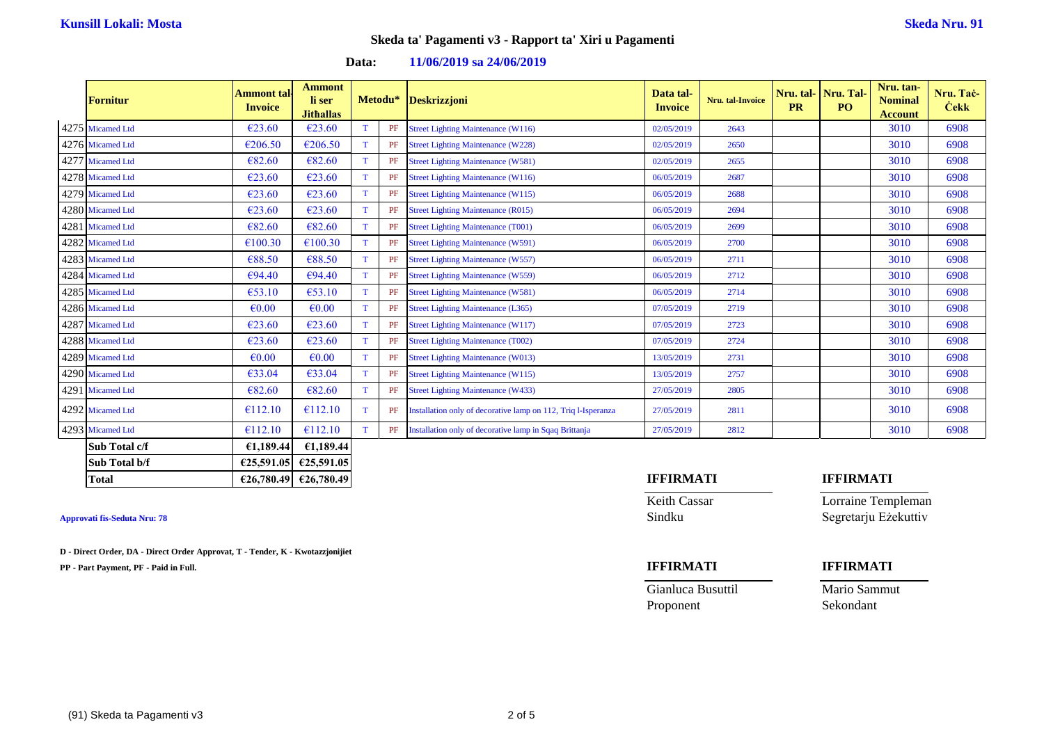| <b>Fornitur</b>  | <b>Ammont</b> tal<br><b>Invoice</b> | <b>Ammont</b><br>li ser<br><b>Jithallas</b> |             |    | Metodu* Deskrizzjoni                                          | Data tal-<br><b>Invoice</b> | Nru. tal-Invoice | Nru. tal-<br><b>PR</b> | Nru. Tal-<br>P <sub>O</sub> | Nru. tan-<br><b>Nominal</b><br><b>Account</b> | Nru. Tač-<br><b>Cekk</b> |
|------------------|-------------------------------------|---------------------------------------------|-------------|----|---------------------------------------------------------------|-----------------------------|------------------|------------------------|-----------------------------|-----------------------------------------------|--------------------------|
| 4275 Micamed Ltd | €23.60                              | €23.60                                      |             | PF | <b>Street Lighting Maintenance (W116)</b>                     | 02/05/2019                  | 2643             |                        |                             | 3010                                          | 6908                     |
| 4276 Micamed Ltd | €206.50                             | €206.50                                     |             | PF | <b>Street Lighting Maintenance (W228)</b>                     | 02/05/2019                  | 2650             |                        |                             | 3010                                          | 6908                     |
| 4277 Micamed Ltd | €82.60                              | €82.60                                      |             | PF | <b>Street Lighting Maintenance (W581)</b>                     | 02/05/2019                  | 2655             |                        |                             | 3010                                          | 6908                     |
| 4278 Micamed Ltd | €23.60                              | €23.60                                      | $\mathbf T$ | PF | <b>Street Lighting Maintenance (W116)</b>                     | 06/05/2019                  | 2687             |                        |                             | 3010                                          | 6908                     |
| 4279 Micamed Ltd | €23.60                              | €23.60                                      |             | PF | <b>Street Lighting Maintenance (W115)</b>                     | 06/05/2019                  | 2688             |                        |                             | 3010                                          | 6908                     |
| 4280 Micamed Ltd | €23.60                              | €23.60                                      |             | PF | <b>Street Lighting Maintenance (R015)</b>                     | 06/05/2019                  | 2694             |                        |                             | 3010                                          | 6908                     |
| 4281 Micamed Ltd | €82.60                              | €82.60                                      |             | PF | <b>Street Lighting Maintenance (T001)</b>                     | 06/05/2019                  | 2699             |                        |                             | 3010                                          | 6908                     |
| 4282 Micamed Ltd | €100.30                             | €100.30                                     |             | PF | <b>Street Lighting Maintenance (W591)</b>                     | 06/05/2019                  | 2700             |                        |                             | 3010                                          | 6908                     |
| 4283 Micamed Ltd | €88.50                              | €88.50                                      |             | PF | <b>Street Lighting Maintenance (W557)</b>                     | 06/05/2019                  | 2711             |                        |                             | 3010                                          | 6908                     |
| 4284 Micamed Ltd | €94.40                              | €94.40                                      |             | PF | <b>Street Lighting Maintenance (W559)</b>                     | 06/05/2019                  | 2712             |                        |                             | 3010                                          | 6908                     |
| 4285 Micamed Ltd | €53.10                              | €53.10                                      |             | PF | <b>Street Lighting Maintenance (W581)</b>                     | 06/05/2019                  | 2714             |                        |                             | 3010                                          | 6908                     |
| 4286 Micamed Ltd | $\epsilon$ 0.00                     | €0.00                                       |             | PF | <b>Street Lighting Maintenance (L365)</b>                     | 07/05/2019                  | 2719             |                        |                             | 3010                                          | 6908                     |
| 4287 Micamed Ltd | €23.60                              | €23.60                                      |             | PF | <b>Street Lighting Maintenance (W117)</b>                     | 07/05/2019                  | 2723             |                        |                             | 3010                                          | 6908                     |
| 4288 Micamed Ltd | €23.60                              | €23.60                                      | $\mathbf T$ | PF | <b>Street Lighting Maintenance (T002)</b>                     | 07/05/2019                  | 2724             |                        |                             | 3010                                          | 6908                     |
| 4289 Micamed Ltd | $\epsilon$ 0.00                     | $\epsilon$ <sub>0.00</sub>                  |             | PF | <b>Street Lighting Maintenance (W013)</b>                     | 13/05/2019                  | 2731             |                        |                             | 3010                                          | 6908                     |
| 4290 Micamed Ltd | €33.04                              | €33.04                                      |             | PF | <b>Street Lighting Maintenance (W115)</b>                     | 13/05/2019                  | 2757             |                        |                             | 3010                                          | 6908                     |
| 4291 Micamed Ltd | €82.60                              | €82.60                                      |             | PF | <b>Street Lighting Maintenance (W433)</b>                     | 27/05/2019                  | 2805             |                        |                             | 3010                                          | 6908                     |
| 4292 Micamed Ltd | €112.10                             | €112.10                                     |             | PF | Installation only of decorative lamp on 112, Triq l-Isperanza | 27/05/2019                  | 2811             |                        |                             | 3010                                          | 6908                     |
| 4293 Micamed Ltd | €112.10                             | €112.10                                     |             |    | PF Installation only of decorative lamp in Sqaq Brittanja     | 27/05/2019                  | 2812             |                        |                             | 3010                                          | 6908                     |
| Sub Total c/f    | €1,189.44                           | £1,189.44                                   |             |    |                                                               |                             |                  |                        |                             |                                               |                          |
| Sub Total b/f    |                                     | €25,591.05 €25,591.05                       |             |    |                                                               |                             |                  |                        |                             |                                               |                          |

### **Data: 11/06/2019 sa 24/06/2019**

**D - Direct Order, DA - Direct Order Approvat, T - Tender, K - Kwotazzjonijiet**

**PP - Part Payment, PF - Paid in Full. IFFIRMATI IFFIRMATI**

## **Total €26,780.49 €26,780.49 IFFIRMATI IFFIRMATI**

Keith Cassar **Lorraine Templeman Approvati fis-Seduta Nru: 78** Sindku Segretarju Eżekuttiv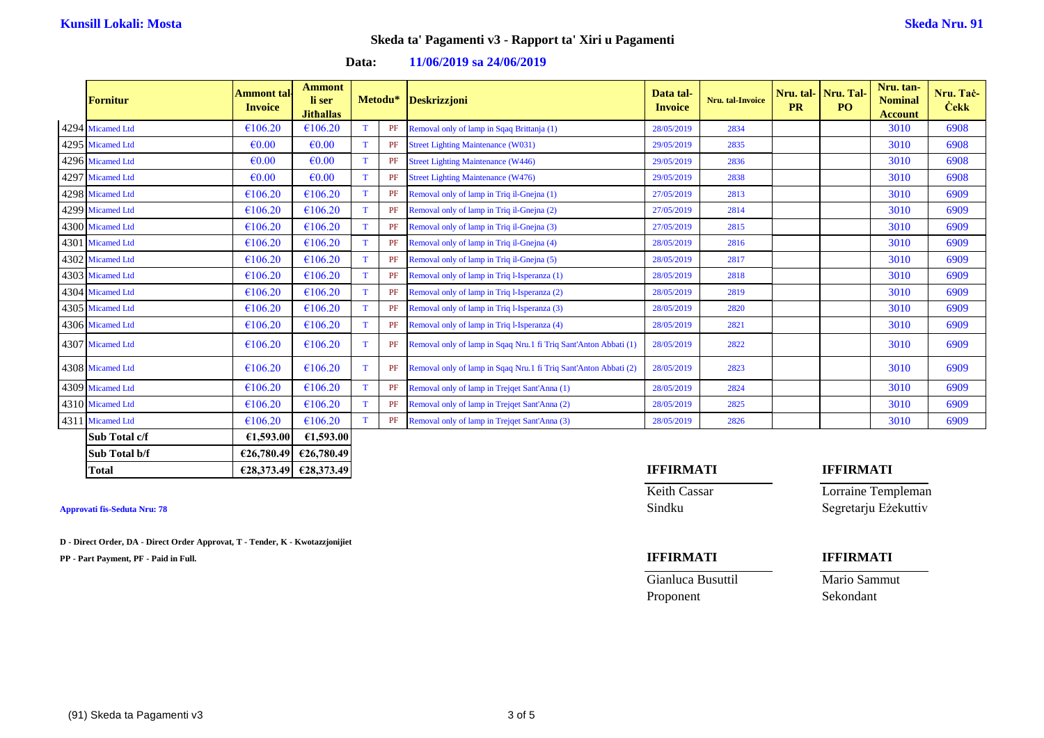| <b>Fornitur</b>  | <b>Ammont tal</b><br><b>Invoice</b> | <b>Ammont</b><br>li ser<br><b>Jithallas</b> |   | Metodu* | Deskrizzjoni                                                     | Data tal-<br><b>Invoice</b> | <b>Nru.</b> tal-Invoice | Nru. tal-<br><b>PR</b> | Nru. Tal-<br>PO <sub>1</sub> | Nru. tan-<br><b>Nominal</b><br><b>Account</b> | Nru. Tač-<br><b>Cekk</b> |
|------------------|-------------------------------------|---------------------------------------------|---|---------|------------------------------------------------------------------|-----------------------------|-------------------------|------------------------|------------------------------|-----------------------------------------------|--------------------------|
| 4294 Micamed Ltd | €106.20                             | €106.20                                     |   | PF      | Removal only of lamp in Sqaq Brittanja (1)                       | 28/05/2019                  | 2834                    |                        |                              | 3010                                          | 6908                     |
| 4295 Micamed Ltd | $\epsilon$ <sub>0.00</sub>          | €0.00                                       |   | PF      | <b>Street Lighting Maintenance (W031)</b>                        | 29/05/2019                  | 2835                    |                        |                              | 3010                                          | 6908                     |
| 4296 Micamed Ltd | $\epsilon$ <sub>0.00</sub>          | €0.00                                       |   | PF      | <b>Street Lighting Maintenance (W446)</b>                        | 29/05/2019                  | 2836                    |                        |                              | 3010                                          | 6908                     |
| 4297 Micamed Ltd | $\epsilon$ <sub>0.00</sub>          | €0.00                                       | T | PF      | <b>Street Lighting Maintenance (W476)</b>                        | 29/05/2019                  | 2838                    |                        |                              | 3010                                          | 6908                     |
| 4298 Micamed Ltd | €106.20                             | €106.20                                     |   | PF      | Removal only of lamp in Triq il-Gnejna (1)                       | 27/05/2019                  | 2813                    |                        |                              | 3010                                          | 6909                     |
| 4299 Micamed Ltd | €106.20                             | €106.20                                     |   | PF      | Removal only of lamp in Triq il-Gnejna (2)                       | 27/05/2019                  | 2814                    |                        |                              | 3010                                          | 6909                     |
| 4300 Micamed Ltd | €106.20                             | €106.20                                     |   | PF      | Removal only of lamp in Triq il-Gnejna (3)                       | 27/05/2019                  | 2815                    |                        |                              | 3010                                          | 6909                     |
| 4301 Micamed Ltd | €106.20                             | €106.20                                     |   | PF      | Removal only of lamp in Triq il-Gnejna (4)                       | 28/05/2019                  | 2816                    |                        |                              | 3010                                          | 6909                     |
| 4302 Micamed Ltd | €106.20                             | €106.20                                     |   | PF      | Removal only of lamp in Triq il-Gnejna (5)                       | 28/05/2019                  | 2817                    |                        |                              | 3010                                          | 6909                     |
| 4303 Micamed Ltd | €106.20                             | €106.20                                     |   | PF      | Removal only of lamp in Triq l-Isperanza (1)                     | 28/05/2019                  | 2818                    |                        |                              | 3010                                          | 6909                     |
| 4304 Micamed Ltd | €106.20                             | €106.20                                     |   | PF      | Removal only of lamp in Triq l-Isperanza (2)                     | 28/05/2019                  | 2819                    |                        |                              | 3010                                          | 6909                     |
| 4305 Micamed Ltd | €106.20                             | €106.20                                     |   | PF      | Removal only of lamp in Triq l-Isperanza (3)                     | 28/05/2019                  | 2820                    |                        |                              | 3010                                          | 6909                     |
| 4306 Micamed Ltd | €106.20                             | €106.20                                     |   | PF      | Removal only of lamp in Triq l-Isperanza (4)                     | 28/05/2019                  | 2821                    |                        |                              | 3010                                          | 6909                     |
| 4307 Micamed Ltd | €106.20                             | €106.20                                     |   | PF      | Removal only of lamp in Sqaq Nru.1 fi Triq Sant'Anton Abbati (1) | 28/05/2019                  | 2822                    |                        |                              | 3010                                          | 6909                     |
| 4308 Micamed Ltd | €106.20                             | €106.20                                     |   | PF      | Removal only of lamp in Sqaq Nru.1 fi Triq Sant'Anton Abbati (2) | 28/05/2019                  | 2823                    |                        |                              | 3010                                          | 6909                     |
| 4309 Micamed Ltd | €106.20                             | €106.20                                     |   | PF      | Removal only of lamp in Trejqet Sant'Anna (1)                    | 28/05/2019                  | 2824                    |                        |                              | 3010                                          | 6909                     |
| 4310 Micamed Ltd | €106.20                             | €106.20                                     |   | PF      | Removal only of lamp in Trejqet Sant'Anna (2)                    | 28/05/2019                  | 2825                    |                        |                              | 3010                                          | 6909                     |
| 4311 Micamed Ltd | €106.20                             | €106.20                                     |   | PF      | Removal only of lamp in Trejqet Sant'Anna (3)                    | 28/05/2019                  | 2826                    |                        |                              | 3010                                          | 6909                     |
| Sub Total c/f    | £1,593.00                           | £1,593.00                                   |   |         |                                                                  |                             |                         |                        |                              |                                               |                          |
| Sub Total b/f    |                                     | €26,780.49 €26,780.49                       |   |         |                                                                  |                             |                         |                        |                              |                                               |                          |

### **Data: 11/06/2019 sa 24/06/2019**

**D - Direct Order, DA - Direct Order Approvat, T - Tender, K - Kwotazzjonijiet**

**PP - Part Payment, PF - Paid in Full. IFFIRMATI IFFIRMATI**

## **Total €28,373.49 €28,373.49 IFFIRMATI IFFIRMATI**

Keith Cassar **Lorraine Templeman** Approvati fis-Seduta Nru: 78 Segretarju Eżekuttiv

| Gianluca Busuttil | Mario Sammut |
|-------------------|--------------|
| Proponent         | Sekondant    |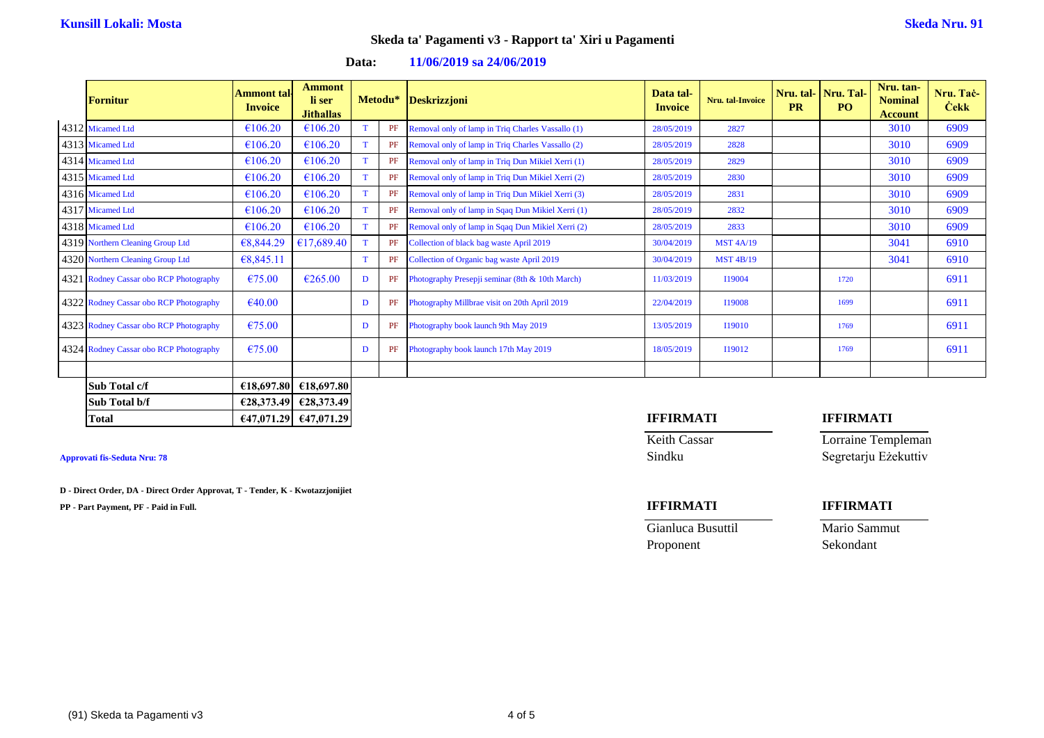| <b>Fornitur</b>                        | Ammont tal·<br><b>Invoice</b> | <b>Ammont</b><br>li ser<br><b>Jithallas</b> |   |    | Metodu* Deskrizzjoni                              | Data tal-<br><b>Invoice</b> | <b>Nru.</b> tal-Invoice | <b>PR</b> | Nru. tal-Nru. Tal-<br>P <sub>O</sub> | Nru. tan-<br><b>Nominal</b><br><b>Account</b> | Nru. Tač-<br><b>Čekk</b> |
|----------------------------------------|-------------------------------|---------------------------------------------|---|----|---------------------------------------------------|-----------------------------|-------------------------|-----------|--------------------------------------|-----------------------------------------------|--------------------------|
| 4312 Micamed Ltd                       | €106.20                       | €106.20                                     |   | PF | Removal only of lamp in Triq Charles Vassallo (1) | 28/05/2019                  | 2827                    |           |                                      | 3010                                          | 6909                     |
| 4313 Micamed Ltd                       | €106.20                       | €106.20                                     |   | PF | Removal only of lamp in Triq Charles Vassallo (2) | 28/05/2019                  | 2828                    |           |                                      | 3010                                          | 6909                     |
| 4314 Micamed Ltd                       | €106.20                       | €106.20                                     |   | PF | Removal only of lamp in Triq Dun Mikiel Xerri (1) | 28/05/2019                  | 2829                    |           |                                      | 3010                                          | 6909                     |
| 4315 Micamed Ltd                       | €106.20                       | €106.20                                     |   | PF | Removal only of lamp in Triq Dun Mikiel Xerri (2) | 28/05/2019                  | 2830                    |           |                                      | 3010                                          | 6909                     |
| 4316 Micamed Ltd                       | €106.20                       | €106.20                                     |   | PF | Removal only of lamp in Triq Dun Mikiel Xerri (3) | 28/05/2019                  | 2831                    |           |                                      | 3010                                          | 6909                     |
| 4317 Micamed Ltd                       | €106.20                       | €106.20                                     |   | PF | Removal only of lamp in Sqaq Dun Mikiel Xerri (1) | 28/05/2019                  | 2832                    |           |                                      | 3010                                          | 6909                     |
| 4318 Micamed Ltd                       | €106.20                       | €106.20                                     |   | PF | Removal only of lamp in Sqaq Dun Mikiel Xerri (2) | 28/05/2019                  | 2833                    |           |                                      | 3010                                          | 6909                     |
| 4319 Northern Cleaning Group Ltd       | €8,844.29                     | £17,689.40                                  |   | PF | Collection of black bag waste April 2019          | 30/04/2019                  | <b>MST 4A/19</b>        |           |                                      | 3041                                          | 6910                     |
| 4320 Northern Cleaning Group Ltd       | €8,845.11                     |                                             | T | PF | Collection of Organic bag waste April 2019        | 30/04/2019                  | <b>MST 4B/19</b>        |           |                                      | 3041                                          | 6910                     |
| 4321 Rodney Cassar obo RCP Photography | €75.00                        | $\epsilon$ 265.00                           | D | PF | Photography Presepji seminar (8th & 10th March)   | 11/03/2019                  | I19004                  |           | 1720                                 |                                               | 6911                     |
| 4322 Rodney Cassar obo RCP Photography | €40.00                        |                                             | D | PF | Photography Millbrae visit on 20th April 2019     | 22/04/2019                  | <b>I19008</b>           |           | 1699                                 |                                               | 6911                     |
| 4323 Rodney Cassar obo RCP Photography | €75.00                        |                                             | D | PF | Photography book launch 9th May 2019              | 13/05/2019                  | I19010                  |           | 1769                                 |                                               | 6911                     |
| 4324 Rodney Cassar obo RCP Photography | €75.00                        |                                             | D | PF | Photography book launch 17th May 2019             | 18/05/2019                  | I19012                  |           | 1769                                 |                                               | 6911                     |
|                                        |                               |                                             |   |    |                                                   |                             |                         |           |                                      |                                               |                          |
| Sub Total c/f                          | €18,697.80                    | €18,697.80                                  |   |    |                                                   |                             |                         |           |                                      |                                               |                          |
| Sub Total b/f                          | €28,373.49                    | E28,373.49                                  |   |    |                                                   |                             |                         |           |                                      |                                               |                          |
| Total                                  |                               | €47,071.29 €47,071.29                       |   |    |                                                   | <b>IFFIRMATI</b>            |                         |           | <b>IFFIRMATI</b>                     |                                               |                          |

### **Data: 11/06/2019 sa 24/06/2019**

### Approvati fis-Seduta Nru: 78 Segretarju Eżekuttiv

**D - Direct Order, DA - Direct Order Approvat, T - Tender, K - Kwotazzjonijiet**

**PP - Part Payment, PF - Paid in Full. IFFIRMATI IFFIRMATI**

Keith Cassar **Lorraine Templeman**